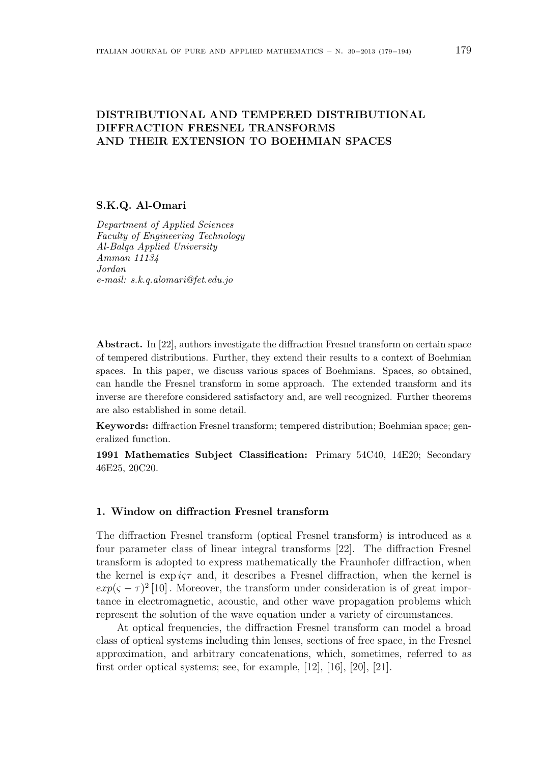### **DISTRIBUTIONAL AND TEMPERED DISTRIBUTIONAL DIFFRACTION FRESNEL TRANSFORMS AND THEIR EXTENSION TO BOEHMIAN SPACES**

#### **S.K.Q. Al-Omari**

*Department of Applied Sciences Faculty of Engineering Technology Al-Balqa Applied University Amman 11134 Jordan e-mail: s.k.q.alomari@fet.edu.jo*

**Abstract.** In [22], authors investigate the diffraction Fresnel transform on certain space of tempered distributions. Further, they extend their results to a context of Boehmian spaces. In this paper, we discuss various spaces of Boehmians. Spaces, so obtained, can handle the Fresnel transform in some approach. The extended transform and its inverse are therefore considered satisfactory and, are well recognized. Further theorems are also established in some detail.

**Keywords:** diffraction Fresnel transform; tempered distribution; Boehmian space; generalized function.

**1991 Mathematics Subject Classification:** Primary 54C40, 14E20; Secondary 46E25, 20C20.

### **1. Window on diffraction Fresnel transform**

The diffraction Fresnel transform (optical Fresnel transform) is introduced as a four parameter class of linear integral transforms [22]. The diffraction Fresnel transform is adopted to express mathematically the Fraunhofer diffraction, when the kernel is  $\exp i \varsigma \tau$  and, it describes a Fresnel diffraction, when the kernel is  $exp(\zeta - \tau)^2$  [10] *a*. Moreover, the transform under consideration is of great importance in electromagnetic, acoustic, and other wave propagation problems which represent the solution of the wave equation under a variety of circumstances.

At optical frequencies, the diffraction Fresnel transform can model a broad class of optical systems including thin lenses, sections of free space, in the Fresnel approximation, and arbitrary concatenations, which, sometimes, referred to as first order optical systems; see, for example, [12], [16], [20], [21].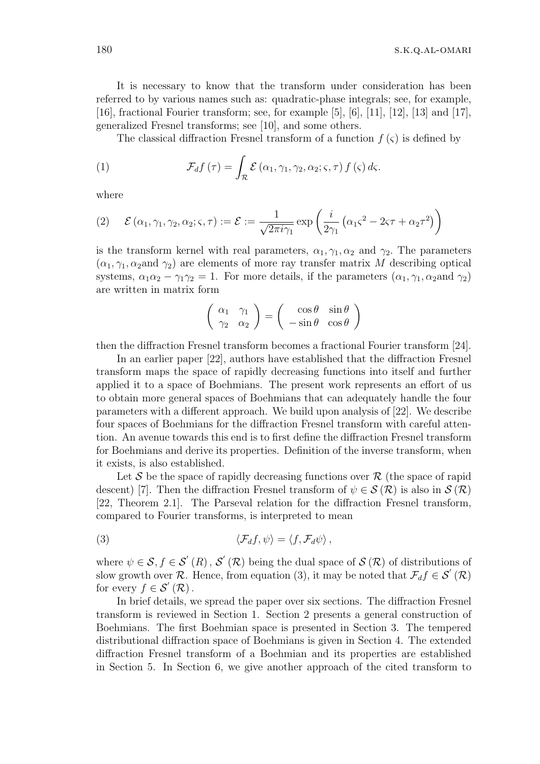180 s.k.q.al-omari

It is necessary to know that the transform under consideration has been referred to by various names such as: quadratic-phase integrals; see, for example, [16], fractional Fourier transform; see, for example [5], [6], [11], [12], [13] and [17], generalized Fresnel transforms; see [10], and some others.

The classical diffraction Fresnel transform of a function  $f(\varsigma)$  is defined by

(1) 
$$
\mathcal{F}_{d}f(\tau) = \int_{\mathcal{R}} \mathcal{E}(\alpha_1, \gamma_1, \gamma_2, \alpha_2; \varsigma, \tau) f(\varsigma) d\varsigma.
$$

where

(2) 
$$
\mathcal{E}(\alpha_1, \gamma_1, \gamma_2, \alpha_2; \varsigma, \tau) := \mathcal{E} := \frac{1}{\sqrt{2\pi i \gamma_1}} \exp\left(\frac{i}{2\gamma_1} \left(\alpha_1 \varsigma^2 - 2\varsigma \tau + \alpha_2 \tau^2\right)\right)
$$

is the transform kernel with real parameters,  $\alpha_1, \gamma_1, \alpha_2$  and  $\gamma_2$ . The parameters  $(\alpha_1, \gamma_1, \alpha_2)$  are elements of more ray transfer matrix *M* describing optical systems,  $\alpha_1 \alpha_2 - \gamma_1 \gamma_2 = 1$ . For more details, if the parameters  $(\alpha_1, \gamma_1, \alpha_2)$  and  $\gamma_2$ ) are written in matrix form

$$
\left(\begin{array}{cc} \alpha_1 & \gamma_1 \\ \gamma_2 & \alpha_2 \end{array}\right) = \left(\begin{array}{cc} \cos \theta & \sin \theta \\ -\sin \theta & \cos \theta \end{array}\right)
$$

then the diffraction Fresnel transform becomes a fractional Fourier transform [24].

In an earlier paper [22], authors have established that the diffraction Fresnel transform maps the space of rapidly decreasing functions into itself and further applied it to a space of Boehmians. The present work represents an effort of us to obtain more general spaces of Boehmians that can adequately handle the four parameters with a different approach. We build upon analysis of [22]. We describe four spaces of Boehmians for the diffraction Fresnel transform with careful attention. An avenue towards this end is to first define the diffraction Fresnel transform for Boehmians and derive its properties. Definition of the inverse transform, when it exists, is also established.

Let  $S$  be the space of rapidly decreasing functions over  $R$  (the space of rapid descent) [7]. Then the diffraction Fresnel transform of  $\psi \in \mathcal{S}(\mathcal{R})$  is also in  $\mathcal{S}(\mathcal{R})$ [22, Theorem 2.1]. The Parseval relation for the diffraction Fresnel transform, compared to Fourier transforms, is interpreted to mean

(3) 
$$
\langle \mathcal{F}_d f, \psi \rangle = \langle f, \mathcal{F}_d \psi \rangle,
$$

where  $\psi \in \mathcal{S}, f \in \mathcal{S}'(R)$ ,  $\mathcal{S}'(\mathcal{R})$  being the dual space of  $\mathcal{S}(\mathcal{R})$  of distributions of slow growth over  $\mathcal{R}$ . Hence, from equation (3), it may be noted that  $\mathcal{F}_d f \in \mathcal{S}'(\mathcal{R})$ for every  $f \in \mathcal{S}'(\mathcal{R})$ .

In brief details, we spread the paper over six sections. The diffraction Fresnel transform is reviewed in Section 1. Section 2 presents a general construction of Boehmians. The first Boehmian space is presented in Section 3. The tempered distributional diffraction space of Boehmians is given in Section 4. The extended diffraction Fresnel transform of a Boehmian and its properties are established in Section 5. In Section 6, we give another approach of the cited transform to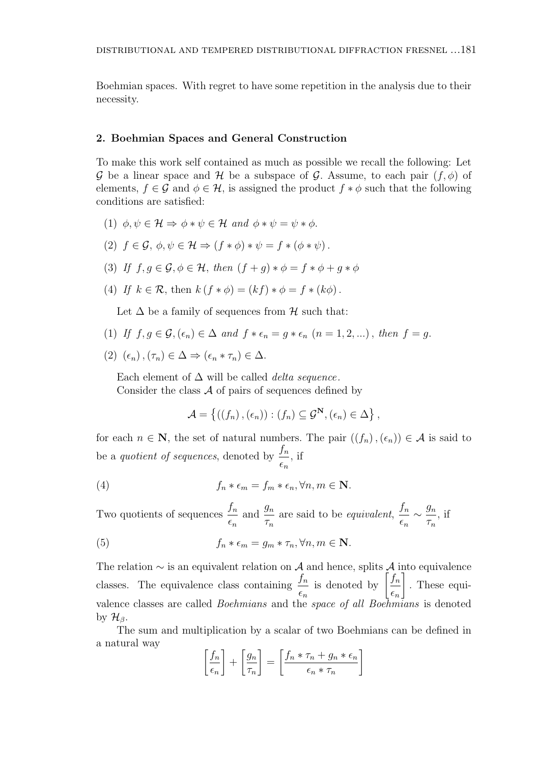Boehmian spaces. With regret to have some repetition in the analysis due to their necessity.

#### **2. Boehmian Spaces and General Construction**

To make this work self contained as much as possible we recall the following: Let *G* be a linear space and *H* be a subspace of *G*. Assume, to each pair  $(f, \phi)$  of elements,  $f \in \mathcal{G}$  and  $\phi \in \mathcal{H}$ , is assigned the product  $f * \phi$  such that the following conditions are satisfied:

- (1)  $\phi, \psi \in \mathcal{H} \Rightarrow \phi * \psi \in \mathcal{H}$  and  $\phi * \psi = \psi * \phi$ .
- $(2)$   $f \in \mathcal{G}, \phi, \psi \in \mathcal{H} \Rightarrow (f * \phi) * \psi = f * (\phi * \psi).$
- (3) *If*  $f, g \in \mathcal{G}, \phi \in \mathcal{H}$ , then  $(f+g) * \phi = f * \phi + g * \phi$
- (4) *If*  $k \in \mathcal{R}$ , then  $k(f * \phi) = (kf) * \phi = f * (k\phi)$ .

Let  $\Delta$  be a family of sequences from  $\mathcal H$  such that:

- (1) If  $f, g \in \mathcal{G}, (\epsilon_n) \in \Delta$  and  $f * \epsilon_n = q * \epsilon_n$   $(n = 1, 2, \ldots)$ , then  $f = q$ .
- $(2)$   $(\epsilon_n)$ ,  $(\tau_n) \in \Delta \Rightarrow (\epsilon_n * \tau_n) \in \Delta$ .

Each element of ∆ will be called *delta sequence.* Consider the class *A* of pairs of sequences defined by

$$
\mathcal{A} = \{ ((f_n), (\epsilon_n)) : (f_n) \subseteq \mathcal{G}^{\mathbf{N}}, (\epsilon_n) \in \Delta \},
$$

for each  $n \in \mathbb{N}$ , the set of natural numbers. The pair  $((f_n), (\epsilon_n)) \in \mathcal{A}$  is said to be a *quotient of sequences*, denoted by *<sup>f</sup><sup>n</sup> ϵn ,* if

(4) 
$$
f_n * \epsilon_m = f_m * \epsilon_n, \forall n, m \in \mathbb{N}.
$$

Two quotients of sequences *<sup>f</sup><sup>n</sup> ϵn* and  $\frac{g_n}{g_n}$ *τn* are said to be *equivalent*, *fn*  $\frac{f_n}{\epsilon_n} \sim \frac{g_n}{\tau_n}$ *τn ,* if

(5) 
$$
f_n * \epsilon_m = g_m * \tau_n, \forall n, m \in \mathbb{N}.
$$

The relation *∼* is an equivalent relation on *A* and hence, splits *A* into equivalence classes. The equivalence class containing *<sup>f</sup><sup>n</sup> ϵn* is denoted by  $\left[\frac{f_n}{f_n}\right]$ *ϵn* ] *.* These equivalence classes are called *Boehmians* and the *space of all Boehmians* is denoted by  $\mathcal{H}_{\beta}$ *.* 

The sum and multiplication by a scalar of two Boehmians can be defined in a natural way

$$
\left[\frac{f_n}{\epsilon_n}\right] + \left[\frac{g_n}{\tau_n}\right] = \left[\frac{f_n * \tau_n + g_n * \epsilon_n}{\epsilon_n * \tau_n}\right]
$$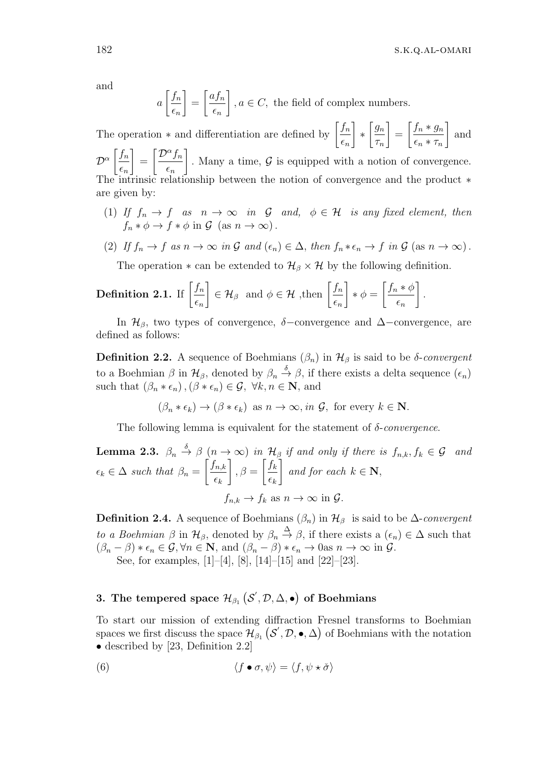and

$$
a\left[\frac{f_n}{\epsilon_n}\right] = \left[\frac{af_n}{\epsilon_n}\right], a \in C
$$
, the field of complex numbers.

The operation  $*$  and differentiation are defined by  $\left[\frac{f_n}{g}\right]$ *ϵn* ] *∗*  $\int g_n$ *τn* ] =  $\int f_n * g_n$  $\epsilon_n * \tau_n$ ] and  $\int f_n$ ]  $\int$ *D<sup>* $\alpha$ *</sup>f<sub>n</sub>* ]

*D<sup>α</sup> ϵn* = *ϵn .* Many a time, *G* is equipped with a notion of convergence. The intrinsic relationship between the notion of convergence and the product *∗* are given by:

(1) *If*  $f_n \to f$  *as*  $n \to \infty$  *in*  $G$  *and,*  $\phi \in H$  *is any fixed element, then*  $f_n * \phi \to f * \phi$  in  $\mathcal{G}$  (as  $n \to \infty$ ).

(2) If 
$$
f_n \to f
$$
 as  $n \to \infty$  in  $\mathcal{G}$  and  $(\epsilon_n) \in \Delta$ , then  $f_n * \epsilon_n \to f$  in  $\mathcal{G}$  (as  $n \to \infty$ ).

The operation  $*$  can be extended to  $\mathcal{H}_{\beta} \times \mathcal{H}$  by the following definition.

**Definition 2.1.** If 
$$
\left[\frac{f_n}{\epsilon_n}\right] \in \mathcal{H}_{\beta}
$$
 and  $\phi \in \mathcal{H}$ , then  $\left[\frac{f_n}{\epsilon_n}\right] * \phi = \left[\frac{f_n * \phi}{\epsilon_n}\right]$ .

In  $\mathcal{H}_{\beta}$ , two types of convergence,  $\delta$ −convergence and  $\Delta$ −convergence, are defined as follows:

**Definition 2.2.** A sequence of Boehmians  $(β<sub>n</sub>)$  in  $H<sub>β</sub>$  is said to be *δ*-*convergent* to a Boehmian  $\beta$  in  $\mathcal{H}_{\beta}$ , denoted by  $\beta_n \stackrel{\delta}{\rightarrow} \beta$ , if there exists a delta sequence  $(\epsilon_n)$ such that  $(\beta_n * \epsilon_n), (\beta * \epsilon_n) \in \mathcal{G}, \forall k, n \in \mathbb{N}, \text{ and}$ 

$$
(\beta_n * \epsilon_k) \to (\beta * \epsilon_k)
$$
 as  $n \to \infty$ , in  $\mathcal{G}$ , for every  $k \in \mathbb{N}$ .

The following lemma is equivalent for the statement of *δ*-*convergence*.

**Lemma 2.3.** 
$$
\beta_n \stackrel{\delta}{\rightarrow} \beta
$$
  $(n \rightarrow \infty)$  in  $\mathcal{H}_{\beta}$  if and only if there is  $f_{n,k}, f_k \in \mathcal{G}$  and  
\n $\epsilon_k \in \Delta$  such that  $\beta_n = \left[\frac{f_{n,k}}{\epsilon_k}\right], \beta = \left[\frac{f_k}{\epsilon_k}\right]$  and for each  $k \in \mathbb{N}$ ,  
\n $f_{n,k} \rightarrow f_k$  as  $n \rightarrow \infty$  in  $\mathcal{G}$ .

**Definition 2.4.** A sequence of Boehmians  $(\beta_n)$  in  $\mathcal{H}_{\beta}$  is said to be  $\Delta$ -*convergent to a Boehmian*  $\beta$  in  $\mathcal{H}_{\beta}$ , denoted by  $\beta_n \stackrel{\Delta}{\rightarrow} \beta$ , if there exists a  $(\epsilon_n) \in \Delta$  such that  $(\beta_n - \beta) * \epsilon_n \in \mathcal{G}, \forall n \in \mathbb{N}, \text{ and } (\beta_n - \beta) * \epsilon_n \to 0 \text{ as } n \to \infty \text{ in } \mathcal{G}.$ See, for examples, [1]–[4], [8], [14]–[15] and [22]–[23].

# **3.** The tempered space  $\mathcal{H}_{\beta_1}(\mathcal{S}', \mathcal{D}, \Delta, \bullet)$  of Boehmians

To start our mission of extending diffraction Fresnel transforms to Boehmian spaces we first discuss the space  $\mathcal{H}_{\beta_1}(\mathcal{S}', \mathcal{D}, \bullet, \Delta)$  of Boehmians with the notation • described by [23, Definition 2.2]

(6) 
$$
\langle f \bullet \sigma, \psi \rangle = \langle f, \psi \star \check{\sigma} \rangle
$$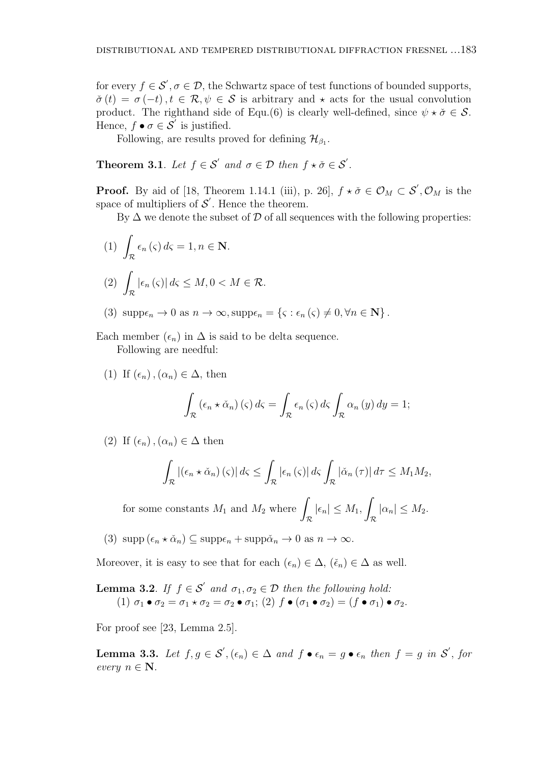for every  $f \in \mathcal{S}'$ ,  $\sigma \in \mathcal{D}$ , the Schwartz space of test functions of bounded supports,  $\check{\sigma}(t) = \sigma(-t)$ ,  $t \in \mathcal{R}, \psi \in \mathcal{S}$  is arbitrary and  $\star$  acts for the usual convolution product. The righthand side of Equ.(6) is clearly well-defined, since  $\psi \star \check{\sigma} \in \mathcal{S}$ . Hence,  $f \bullet \sigma \in \mathcal{S}'$  is justified.

Following, are results proved for defining  $\mathcal{H}_{\beta_1}$ .

**Theorem 3.1**. Let  $f \in S'$  and  $\sigma \in \mathcal{D}$  then  $f \star \check{\sigma} \in S'$ .

**Proof.** By aid of [18, Theorem 1.14.1 (iii), p. 26],  $f \star \check{\sigma} \in \mathcal{O}_M \subset \mathcal{S}', \mathcal{O}_M$  is the space of multipliers of  $\mathcal{S}'$ . Hence the theorem.

By  $\Delta$  we denote the subset of  $\mathcal D$  of all sequences with the following properties:

(1) 
$$
\int_{\mathcal{R}} \epsilon_n(\varsigma) d\varsigma = 1, n \in \mathbf{N}.
$$
  
(2) 
$$
\int_{\mathcal{R}} |\epsilon_n(\varsigma)| d\varsigma \le M, 0 < M \in \mathcal{R}.
$$

(3)  $\text{supp}\epsilon_n \to 0 \text{ as } n \to \infty, \text{supp}\epsilon_n = \{\varsigma : \epsilon_n(\varsigma) \neq 0, \forall n \in \mathbb{N}\}\.$ 

Each member  $(\epsilon_n)$  in  $\Delta$  is said to be delta sequence.

Following are needful:

(1) If  $(\epsilon_n)$ ,  $(\alpha_n) \in \Delta$ , then

$$
\int_{\mathcal{R}} \left( \epsilon_n \star \check{\alpha}_n \right) \left( \varsigma \right) d\varsigma = \int_{\mathcal{R}} \epsilon_n \left( \varsigma \right) d\varsigma \int_{\mathcal{R}} \alpha_n \left( y \right) dy = 1;
$$

(2) If  $(\epsilon_n)$ ,  $(\alpha_n) \in \Delta$  then

$$
\int_{\mathcal{R}} \left| \left( \epsilon_n \star \check{\alpha}_n \right) \left( \varsigma \right) \right| d\varsigma \leq \int_{\mathcal{R}} \left| \epsilon_n \left( \varsigma \right) \right| d\varsigma \int_{\mathcal{R}} \left| \check{\alpha}_n \left( \tau \right) \right| d\tau \leq M_1 M_2,
$$

for some constants  $M_1$  and  $M_2$  where  $\int |\epsilon_n| \leq M_1$ , *R* ∫ *R*  $|\alpha_n| \leq M_2$ *.* 

 $(3)$  supp  $(\epsilon_n \star \check{\alpha}_n) \subseteq \text{supp}\epsilon_n + \text{supp}\check{\alpha}_n \to 0$  as  $n \to \infty$ .

Moreover, it is easy to see that for each  $(\epsilon_n) \in \Delta$ ,  $(\check{\epsilon}_n) \in \Delta$  as well.

**Lemma 3.2**. *If*  $f \in S'$  *and*  $\sigma_1, \sigma_2 \in D$  *then the following hold:* (1)  $\sigma_1 \bullet \sigma_2 = \sigma_1 \star \sigma_2 = \sigma_2 \bullet \sigma_1$ ; (2)  $f \bullet (\sigma_1 \bullet \sigma_2) = (f \bullet \sigma_1) \bullet \sigma_2$ .

For proof see [23, Lemma 2.5].

**Lemma 3.3.** Let  $f, g \in \mathcal{S}', (\epsilon_n) \in \Delta$  and  $f \bullet \epsilon_n = g \bullet \epsilon_n$  then  $f = g$  in  $\mathcal{S}',$  for *every*  $n \in \mathbb{N}$ *.*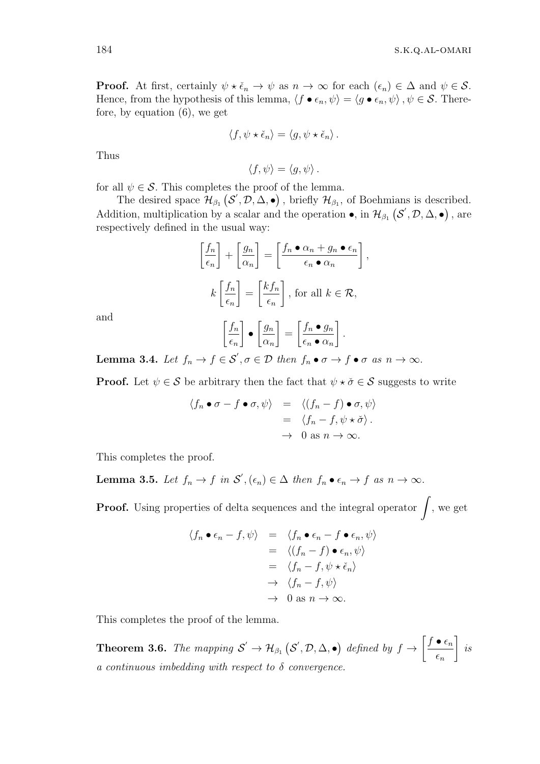**Proof.** At first, certainly  $\psi \star \check{\epsilon}_n \to \psi$  as  $n \to \infty$  for each  $(\epsilon_n) \in \Delta$  and  $\psi \in \mathcal{S}$ . Hence, from the hypothesis of this lemma,  $\langle f \bullet \epsilon_n, \psi \rangle = \langle g \bullet \epsilon_n, \psi \rangle$ ,  $\psi \in \mathcal{S}$ . Therefore, by equation (6), we get

$$
\langle f, \psi \star \check{\epsilon}_n \rangle = \langle g, \psi \star \check{\epsilon}_n \rangle.
$$

Thus

$$
\langle f, \psi \rangle = \langle g, \psi \rangle.
$$

for all  $\psi \in \mathcal{S}$ . This completes the proof of the lemma.

The desired space  $\mathcal{H}_{\beta_1}(\mathcal{S}', \mathcal{D}, \Delta, \bullet)$ , briefly  $\mathcal{H}_{\beta_1}$ , of Boehmians is described. Addition, multiplication by a scalar and the operation  $\bullet$ , in  $\mathcal{H}_{\beta_1}(\mathcal{S}', \mathcal{D}, \Delta, \bullet)$ , are respectively defined in the usual way:

$$
\left[\frac{f_n}{\epsilon_n}\right] + \left[\frac{g_n}{\alpha_n}\right] = \left[\frac{f_n \bullet \alpha_n + g_n \bullet \epsilon_n}{\epsilon_n \bullet \alpha_n}\right],
$$

$$
k\left[\frac{f_n}{\epsilon_n}\right] = \left[\frac{k f_n}{\epsilon_n}\right], \text{ for all } k \in \mathcal{R},
$$

and

$$
\left[\frac{f_n}{\epsilon_n}\right] \bullet \left[\frac{g_n}{\alpha_n}\right] = \left[\frac{f_n \bullet g_n}{\epsilon_n \bullet \alpha_n}\right].
$$

**Lemma 3.4.** Let  $f_n \to f \in \mathcal{S}', \sigma \in \mathcal{D}$  then  $f_n \bullet \sigma \to f \bullet \sigma$  as  $n \to \infty$ .

**Proof.** Let  $\psi \in \mathcal{S}$  be arbitrary then the fact that  $\psi \star \check{\sigma} \in \mathcal{S}$  suggests to write

$$
\langle f_n \bullet \sigma - f \bullet \sigma, \psi \rangle = \langle (f_n - f) \bullet \sigma, \psi \rangle
$$
  
= 
$$
\langle f_n - f, \psi \star \check{\sigma} \rangle.
$$
  

$$
\to 0 \text{ as } n \to \infty.
$$

This completes the proof.

**Lemma 3.5.** Let  $f_n \to f$  in  $\mathcal{S}', (\epsilon_n) \in \Delta$  then  $f_n \bullet \epsilon_n \to f$  as  $n \to \infty$ .

**Proof.** Using properties of delta sequences and the integral operator <sup>∫</sup> *,* we get

$$
\langle f_n \bullet \epsilon_n - f, \psi \rangle = \langle f_n \bullet \epsilon_n - f \bullet \epsilon_n, \psi \rangle
$$
  
=  $\langle (f_n - f) \bullet \epsilon_n, \psi \rangle$   
=  $\langle f_n - f, \psi \star \check{\epsilon}_n \rangle$   
 $\rightarrow \langle f_n - f, \psi \rangle$   
 $\rightarrow 0 \text{ as } n \rightarrow \infty.$ 

This completes the proof of the lemma.

**Theorem 3.6.** *The mapping*  $S' \to H_{\beta_1} (S', \mathcal{D}, \Delta, \bullet)$  *defined by*  $f \to$  $\int f \bullet \epsilon_n$ *ϵn* ] *is a continuous imbedding with respect to δ convergence.*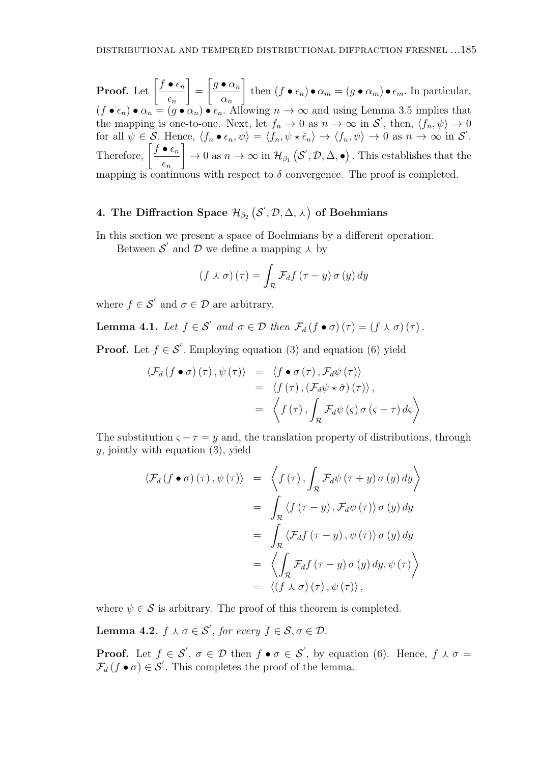**Proof.** Let  $\left[\frac{f \bullet \epsilon_n}{f}\right]$ *ϵn* ] =  $\int g \bullet \alpha_n$ *αn* ] then  $(f \bullet \epsilon_n) \bullet \alpha_m = (g \bullet \alpha_m) \bullet \epsilon_m$ . In particular,  $(f \bullet \epsilon_n) \bullet \alpha_n = (g \bullet \alpha_n) \bullet \epsilon_n$ . Allowing  $n \to \infty$  and using Lemma 3.5 implies that the mapping is one-to-one. Next, let  $f_n \to 0$  as  $n \to \infty$  in  $\mathcal{S}'$ , then,  $\langle f_n, \psi \rangle \to 0$ for all  $\psi \in \mathcal{S}$ . Hence,  $\langle f_n \bullet \epsilon_n, \psi \rangle = \langle f_n, \psi \star \check{\epsilon}_n \rangle \to \langle f_n, \psi \rangle \to 0$  as  $n \to \infty$  in  $\mathcal{S}'$ . Therefore,  $\left[\frac{f \bullet \epsilon_n}{f}\right]$ *ϵn* ]  $\to 0$  as  $n \to \infty$  in  $\mathcal{H}_{\beta_1}(\mathcal{S}', \mathcal{D}, \Delta, \bullet)$ . This establishes that the mapping is continuous with respect to  $\delta$  convergence. The proof is completed.

# $\mathcal{H}_{\beta_2}\left( \mathcal{S}^{'}, \mathcal{D}, \Delta, \lambda \right)$  of Boehmians

In this section we present a space of Boehmians by a different operation.

Between  $\mathcal{S}'$  and  $\mathcal{D}$  we define a mapping  $\lambda$  by

$$
(f \wedge \sigma)(\tau) = \int_{\mathcal{R}} \mathcal{F}_d f(\tau - y) \sigma(y) dy
$$

where  $f \in \mathcal{S}'$  and  $\sigma \in \mathcal{D}$  are arbitrary.

**Lemma 4.1.** *Let*  $f \in S'$  *and*  $\sigma \in D$  *then*  $\mathcal{F}_d(f \bullet \sigma)(\tau) = (f \land \sigma)(\tau)$ .

**Proof.** Let  $f \in \mathcal{S}'$ . Employing equation (3) and equation (6) yield

$$
\langle \mathcal{F}_d(f \bullet \sigma)(\tau), \psi(\tau) \rangle = \langle f \bullet \sigma(\tau), \mathcal{F}_d \psi(\tau) \rangle
$$
  
=  $\langle f(\tau), (\mathcal{F}_d \psi \star \check{\sigma})(\tau) \rangle$ ,  
=  $\langle f(\tau), \int_{\mathcal{R}} \mathcal{F}_d \psi(\varsigma) \sigma(\varsigma - \tau) d\varsigma \rangle$ 

The substitution  $\varsigma - \tau = y$  and, the translation property of distributions, through *y*, jointly with equation (3), yield

$$
\langle \mathcal{F}_d(f \bullet \sigma)(\tau), \psi(\tau) \rangle = \langle f(\tau), \int_{\mathcal{R}} \mathcal{F}_d \psi(\tau + y) \sigma(y) dy \rangle
$$
  
\n
$$
= \int_{\mathcal{R}} \langle f(\tau - y), \mathcal{F}_d \psi(\tau) \rangle \sigma(y) dy
$$
  
\n
$$
= \int_{\mathcal{R}} \langle \mathcal{F}_d f(\tau - y), \psi(\tau) \rangle \sigma(y) dy
$$
  
\n
$$
= \langle \int_{\mathcal{R}} \mathcal{F}_d f(\tau - y) \sigma(y) dy, \psi(\tau) \rangle
$$
  
\n
$$
= \langle (f \land \sigma)(\tau), \psi(\tau) \rangle,
$$

where  $\psi \in \mathcal{S}$  is arbitrary. The proof of this theorem is completed.

**Lemma 4.2**.  $f \wedge \sigma \in \mathcal{S}'$ , for every  $f \in \mathcal{S}, \sigma \in \mathcal{D}$ .

**Proof.** Let  $f \in S'$ ,  $\sigma \in \mathcal{D}$  then  $f \bullet \sigma \in S'$ , by equation (6). Hence,  $f \wedge \sigma =$  $\mathcal{F}_d(f \bullet \sigma) \in \mathcal{S}'$ . This completes the proof of the lemma.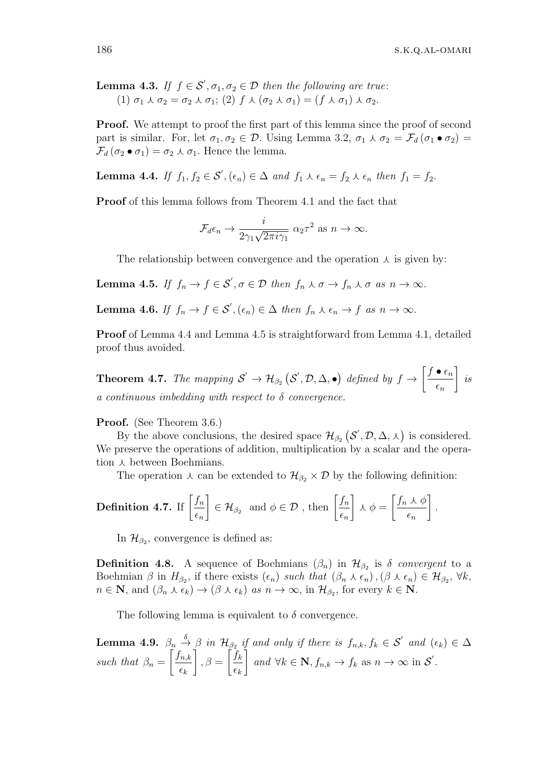**Lemma 4.3.** *If*  $f \in S'$ ,  $\sigma_1, \sigma_2 \in D$  *then the following are true*:  $(1)$   $\sigma_1 \wedge \sigma_2 = \sigma_2 \wedge \sigma_1$ ;  $(2)$   $f \wedge (\sigma_2 \wedge \sigma_1) = (f \wedge \sigma_1) \wedge \sigma_2$ .

**Proof.** We attempt to proof the first part of this lemma since the proof of second part is similar. For, let  $\sigma_1, \sigma_2 \in \mathcal{D}$ . Using Lemma 3.2,  $\sigma_1 \wedge \sigma_2 = \mathcal{F}_d(\sigma_1 \bullet \sigma_2)$  $\mathcal{F}_d(\sigma_2 \bullet \sigma_1) = \sigma_2 \star \sigma_1$ . Hence the lemma.

**Lemma 4.4.** *If*  $f_1, f_2 \in \mathcal{S}', (\epsilon_n) \in \Delta$  *and*  $f_1 \wedge \epsilon_n = f_2 \wedge \epsilon_n$  *then*  $f_1 = f_2$ *.* 

**Proof** of this lemma follows from Theorem 4.1 and the fact that

$$
\mathcal{F}_d \epsilon_n \to \frac{i}{2\gamma_1\sqrt{2\pi i \gamma_1}} \ \alpha_2 \tau^2 \ \text{as} \ n \to \infty.
$$

The relationship between convergence and the operation  $\lambda$  is given by:

**Lemma 4.5.** *If*  $f_n \to f \in \mathcal{S}', \sigma \in \mathcal{D}$  *then*  $f_n \wedge \sigma \to f_n \wedge \sigma$  *as*  $n \to \infty$ *.* 

**Lemma 4.6.** *If*  $f_n \to f \in \mathcal{S}'$ ,  $(\epsilon_n) \in \Delta$  *then*  $f_n \wedge \epsilon_n \to f$  *as*  $n \to \infty$ .

**Proof** of Lemma 4.4 and Lemma 4.5 is straightforward from Lemma 4.1, detailed proof thus avoided.

**Theorem 4.7.** *The mapping*  $S' \to H_{\beta_2}(S', \mathcal{D}, \Delta, \bullet)$  *defined by*  $f \to$  $\int f \bullet \epsilon_n$ *ϵn* ] *is a continuous imbedding with respect to δ convergence.*

**Proof.** (See Theorem 3.6.)

By the above conclusions, the desired space  $\mathcal{H}_{\beta_2}(\mathcal{S}', \mathcal{D}, \Delta, \lambda)$  is considered. We preserve the operations of addition, multiplication by a scalar and the operation  $\lambda$  between Boehmians.

The operation  $\lambda$  can be extended to  $\mathcal{H}_{\beta_2} \times \mathcal{D}$  by the following definition:

**Definition 4.7.** If 
$$
\left[\frac{f_n}{\epsilon_n}\right] \in \mathcal{H}_{\beta_2}
$$
 and  $\phi \in \mathcal{D}$ , then  $\left[\frac{f_n}{\epsilon_n}\right] \wedge \phi = \left[\frac{f_n \wedge \phi}{\epsilon_n}\right]$ .

In  $\mathcal{H}_{\beta_2}$ , convergence is defined as:

**Definition 4.8.** A sequence of Boehmians  $(\beta_n)$  in  $\mathcal{H}_{\beta_2}$  is  $\delta$  *convergent* to a Boehmian  $\beta$  in  $H_{\beta_2}$ , if there exists  $(\epsilon_n)$  such that  $(\beta_n \wedge \epsilon_n), (\beta \wedge \epsilon_n) \in \mathcal{H}_{\beta_2}, \forall k$ ,  $n \in \mathbb{N}$ , and  $(\beta_n \wedge \epsilon_k) \to (\beta \wedge \epsilon_k)$  as  $n \to \infty$ , in  $\mathcal{H}_{\beta_2}$ , for every  $k \in \mathbb{N}$ .

The following lemma is equivalent to  $\delta$  convergence.

**Lemma 4.9.** 
$$
\beta_n \stackrel{\delta}{\rightarrow} \beta
$$
 in  $\mathcal{H}_{\beta_2}$  if and only if there is  $f_{n,k}, f_k \in \mathcal{S}'$  and  $(\epsilon_k) \in \Delta$   
such that  $\beta_n = \left[\frac{f_{n,k}}{\epsilon_k}\right], \beta = \left[\frac{f_k}{\epsilon_k}\right]$  and  $\forall k \in \mathbb{N}, f_{n,k} \to f_k$  as  $n \to \infty$  in  $\mathcal{S}'$ .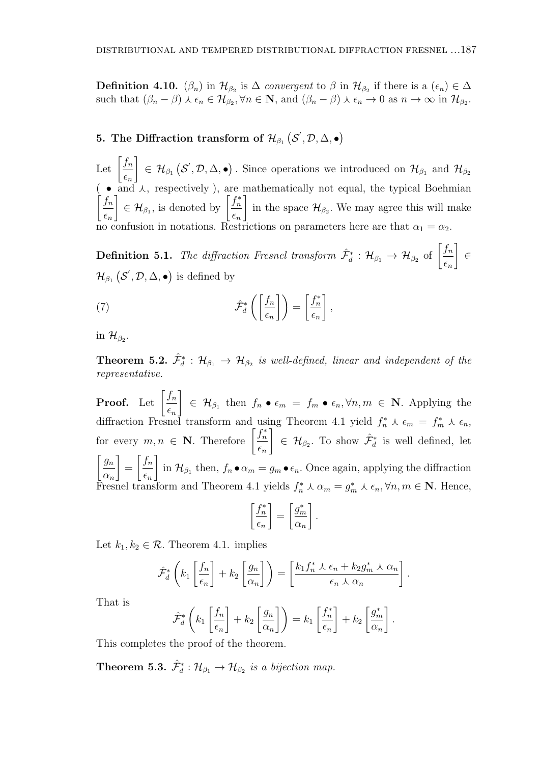**Definition 4.10.** ( $\beta_n$ ) in  $\mathcal{H}_{\beta_2}$  is  $\Delta$  *convergent* to  $\beta$  in  $\mathcal{H}_{\beta_2}$  if there is a  $(\epsilon_n) \in \Delta$ such that  $(\beta_n - \beta) \wedge \epsilon_n \in \mathcal{H}_{\beta_2}$ ,  $\forall n \in \mathbb{N}$ , and  $(\beta_n - \beta) \wedge \epsilon_n \to 0$  as  $n \to \infty$  in  $\mathcal{H}_{\beta_2}$ .

# **5.** The Diffraction transform of  $\mathcal{H}_{\beta_1}\left(\mathcal{S}', \mathcal{D}, \Delta, \bullet\right)$

Let  $\left[\frac{f_n}{f_n}\right]$ *ϵn* ]  $\in$   $\mathcal{H}_{\beta_1}$  ( $\mathcal{S}', \mathcal{D}, \Delta, \bullet$ ). Since operations we introduced on  $\mathcal{H}_{\beta_1}$  and  $\mathcal{H}_{\beta_2}$  $\bullet$  and  $\lambda$ , respectively), are mathematically not equal, the typical Boehmian  $\int f_n$ *ϵn* ]  $\in \mathcal{H}_{\beta_1}$ , is denoted by  $\left[\frac{f_n^*}{f_n}\right]$ *ϵn* ] in the space  $\mathcal{H}_{\beta_2}$ . We may agree this will make no confusion in notations. Restrictions on parameters here are that  $\alpha_1 = \alpha_2$ .

**Definition 5.1.** *The diffraction Fresnel transform*  $\hat{\mathcal{F}}_d^*$  :  $\mathcal{H}_{\beta_1} \to \mathcal{H}_{\beta_2}$  of  $\left[\frac{f_n}{f_n}\right]$ *ϵn* ] *∈*  $\mathcal{H}_{\beta_1}(\mathcal{S}', \mathcal{D}, \Delta, \bullet)$  is defined by

(7) 
$$
\hat{\mathcal{F}}_d^* \left( \left[ \frac{f_n}{\epsilon_n} \right] \right) = \left[ \frac{f_n^*}{\epsilon_n} \right],
$$

in  $\mathcal{H}_{\beta_2}$ .

**Theorem 5.2.**  $\hat{\mathcal{F}}_d^*$  :  $\mathcal{H}_{\beta_1} \to \mathcal{H}_{\beta_2}$  is well-defined, linear and independent of the *representative.*

**Proof.** Let  $\left[\frac{f_n}{f_n}\right]$ *ϵn* ]  $\in$   $\mathcal{H}_{\beta_1}$  then  $f_n \bullet \epsilon_m = f_m \bullet \epsilon_n, \forall n, m \in \mathbb{N}$ . Applying the diffraction Fresnel transform and using Theorem 4.1 yield  $f_n^* \wedge \epsilon_m = f_m^* \wedge \epsilon_n$ , for every  $m, n \in \mathbb{N}$ . Therefore  $\left[\frac{f_n^*}{f_n}\right]$ *ϵn* ]  $∈$   $H_{\beta_2}$ . To show  $\hat{\mathcal{F}}^*_{d}$  is well defined, let  $\int g_n$ *αn* ] =  $\int f_n$ *ϵn* ] in  $\mathcal{H}_{\beta_1}$  then,  $f_n \bullet \alpha_m = g_m \bullet \epsilon_n$ . Once again, applying the diffraction Fresnel transform and Theorem 4.1 yields  $f_n^* \wedge \alpha_m = g_m^* \wedge \epsilon_n, \forall n, m \in \mathbb{N}$ . Hence,

$$
\left[\frac{f_n^*}{\epsilon_n}\right] = \left[\frac{g_m^*}{\alpha_n}\right].
$$

Let  $k_1, k_2 \in \mathcal{R}$ . Theorem 4.1. implies

$$
\hat{\mathcal{F}}_d^* \left( k_1 \left[ \frac{f_n}{\epsilon_n} \right] + k_2 \left[ \frac{g_n}{\alpha_n} \right] \right) = \left[ \frac{k_1 f_n^* \lambda \epsilon_n + k_2 g_m^* \lambda \alpha_n}{\epsilon_n \lambda \alpha_n} \right]
$$

*.*

That is

$$
\hat{\mathcal{F}}_d^* \left( k_1 \left[ \frac{f_n}{\epsilon_n} \right] + k_2 \left[ \frac{g_n}{\alpha_n} \right] \right) = k_1 \left[ \frac{f_n^*}{\epsilon_n} \right] + k_2 \left[ \frac{g_m^*}{\alpha_n} \right].
$$

This completes the proof of the theorem.

**Theorem 5.3.**  $\hat{\mathcal{F}}_d^* : \mathcal{H}_{\beta_1} \to \mathcal{H}_{\beta_2}$  is a bijection map.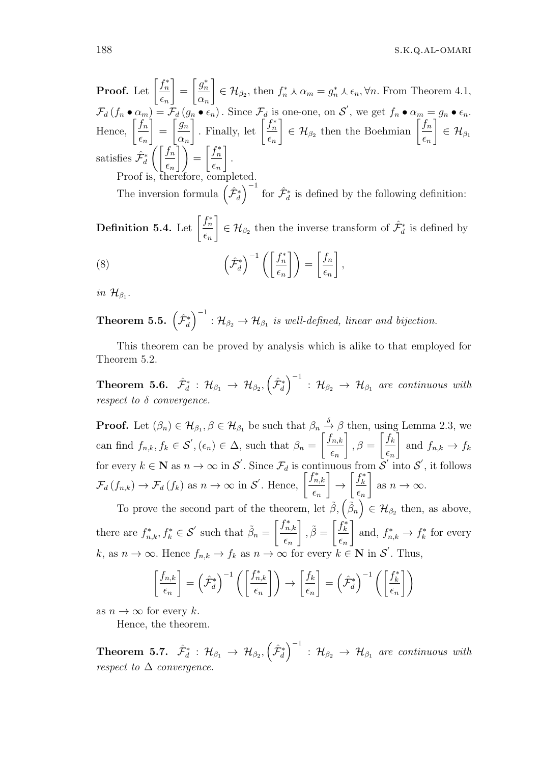**Proof.** Let  $\left[\frac{f_n^*}{f_n}\right]$ *ϵn* ] =  $\int g_n^*$ *αn* ]  $\in \mathcal{H}_{\beta_2}$ , then  $f_n^* \wedge \alpha_m = g_n^* \wedge \epsilon_n, \forall n$ . From Theorem 4.1,  $\mathcal{F}_d(f_n \bullet \alpha_m) = \mathcal{F}_d(g_n \bullet \epsilon_n)$ . Since  $\mathcal{F}_d$  is one-one, on  $\mathcal{S}'$ , we get  $f_n \bullet \alpha_m = g_n \bullet \epsilon_n$ . Hence,  $\int_0^{\infty}$ *ϵn* ] =  $\int g_n$ *αn* . Finally, let  $\left[\frac{f_n^*}{f_n}\right]$ *ϵn* ]  $\epsilon \in \mathcal{H}_{\beta_2}$  then the Boehmian  $\left[\frac{f_n}{f_n}\right]$ *ϵn* ]  $\in$   ${\cal H}_{\beta_1}$ satisfies  $\hat{\mathcal{F}}_d^*$  $\int$   $\int$   $\int$   $f$ <sup>n</sup> *ϵn*  $\left[\,\right]$  $\left[\,\right]$  $=$  $\left[\,\frac{f_n^*}{f_n}\,\right]$ *ϵn* ] *.* Proof is, therefore, completed.

The inversion formula  $(\hat{\mathcal{F}}_d^*$  $\int$ <sup>-1</sup> for  $\hat{\mathcal{F}}_d^*$  is defined by the following definition:

 $\textbf{Definition 5.4.} \; \text{Let} \; \left\lceil \frac{f_n^*}{f_n^*} \right\rceil$ *ϵn* ]  $∈$   $H_{\beta_2}$  then the inverse transform of  $\hat{\mathcal{F}}^*_{d}$  is defined by  $(8)$  $\hat{\mathcal{F}}_d^*$ )*−*<sup>1</sup> ([*f ∗ n ϵn*  $\Big\} = \Big\lceil \frac{f_n}{f_n} \Big\rceil$ *ϵn* ] *,*

*in*  $\mathcal{H}_{\beta_1}$ .

Theorem 5.5.  $\left( \hat{\mathcal{F}}_d^{*} \right)$  $\int$ <sup>-1</sup> :  $\mathcal{H}_{\beta_2} \rightarrow \mathcal{H}_{\beta_1}$  is well-defined, linear and bijection.

This theorem can be proved by analysis which is alike to that employed for Theorem 5.2.

 $\textbf{Theorem 5.6.} \quad \hat{\mathcal{F}}_d^* \, : \, \mathcal{H}_{\beta_1} \, \rightarrow \, \mathcal{H}_{\beta_2}, \left( \hat{\mathcal{F}}_d^* \right)$  $\int^{−1}$  :  $\mathcal{H}_{\beta_2} \rightarrow \mathcal{H}_{\beta_1}$  are continuous with *respect to δ convergence.*

**Proof.** Let  $(\beta_n) \in \mathcal{H}_{\beta_1}, \beta \in \mathcal{H}_{\beta_1}$  be such that  $\beta_n \stackrel{\delta}{\rightarrow} \beta$  then, using Lemma 2.3, we can find  $f_{n,k}, f_k \in \mathcal{S}', (\epsilon_n) \in \Delta$ , such that  $\beta_n =$ [ *fn,k ϵn* ]  $, \beta =$  $\int f_k$ *ϵn* ] and  $f_{n,k} \to f_k$ for every  $k \in \mathbb{N}$  as  $n \to \infty$  in  $\mathcal{S}'$ . Since  $\mathcal{F}_d$  is continuous from  $\mathcal{S}$  $\int$ <sup>'</sup> into  $\mathcal{S}'$ , it follows  $\mathcal{F}_d(f_{n,k}) \to \mathcal{F}_d(f_k)$  as  $n \to \infty$  in *S*<sup>'</sup>. Hence,  $\left[\frac{f_{n,k}^*}{f_n} \right]$ *ϵn* ] *→* [ *f ∗ k ϵn* ] as  $n \to \infty$ .

To prove the second part of the theorem, let  $\tilde{\beta}$ ,  $(\tilde{\beta}_n) \in \mathcal{H}_{\beta_2}$  then, as above, there are  $f_{n,k}^*$ ,  $f_k^* \in \mathcal{S}'$  such that  $\tilde{\beta}_n =$  $\int f_{n,k}^*$ *ϵn*  $\left[\right], \tilde{\beta} = \left[\frac{f_k^*}{f_k}\right]$ *ϵn* ] and,  $f_{n,k}^* \to f_k^*$  for every  $k$ , as  $n \to \infty$ . Hence  $f_{n,k} \to f_k$  as  $n \to \infty$  for every  $k \in \mathbb{N}$  in  $\mathcal{S}'$ . Thus,

$$
\left[\frac{f_{n,k}}{\epsilon_n}\right] = \left(\hat{\mathcal{F}}_d^*\right)^{-1} \left(\left[\frac{f_{n,k}^*}{\epsilon_n}\right]\right) \to \left[\frac{f_k}{\epsilon_n}\right] = \left(\hat{\mathcal{F}}_d^*\right)^{-1} \left(\left[\frac{f_k^*}{\epsilon_n}\right]\right)
$$

as  $n \to \infty$  for every *k*.

Hence, the theorem.

 $\textbf{Theorem 5.7.} \quad \hat{\mathcal{F}}_d^* \, : \, \mathcal{H}_{\beta_1} \, \rightarrow \, \mathcal{H}_{\beta_2}, \left( \hat{\mathcal{F}}_d^* \right)$  $\int$ <sup>-1</sup> :  $\mathcal{H}_{\beta_2} \rightarrow \mathcal{H}_{\beta_1}$  are continuous with *respect to*  $\Delta$  *convergence.*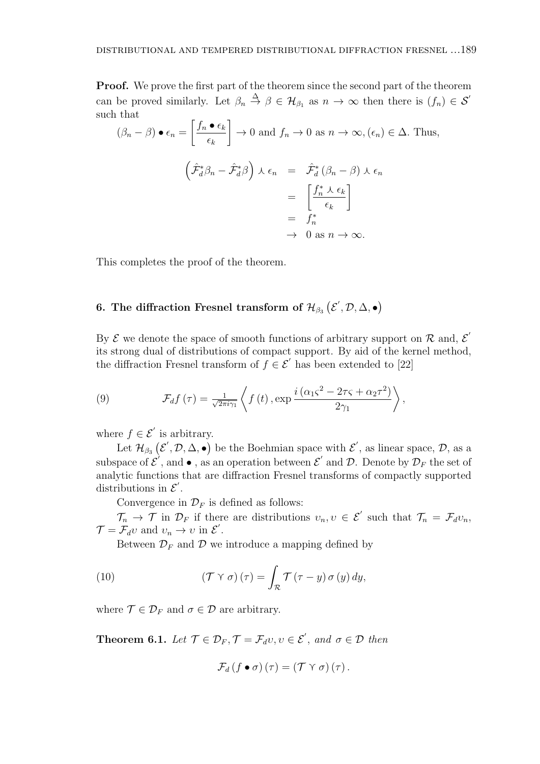**Proof.** We prove the first part of the theorem since the second part of the theorem can be proved similarly. Let  $\beta_n \stackrel{\Delta}{\to} \beta \in \mathcal{H}_{\beta_1}$  as  $n \to \infty$  then there is  $(f_n) \in \mathcal{S}'$ such that  $\overline{a}$  $\overline{a}$ 

$$
(\beta_n - \beta) \bullet \epsilon_n = \left[ \frac{f_n \bullet \epsilon_k}{\epsilon_k} \right] \to 0 \text{ and } f_n \to 0 \text{ as } n \to \infty, (\epsilon_n) \in \Delta. \text{ Thus,}
$$

$$
\left( \hat{\mathcal{F}}_d^* \beta_n - \hat{\mathcal{F}}_d^* \beta \right) \lambda \epsilon_n = \hat{\mathcal{F}}_d^* \left( \beta_n - \beta \right) \lambda \epsilon_n
$$

$$
= \left[ \frac{f_n^* \lambda \epsilon_k}{\epsilon_k} \right]
$$

$$
= f_n^*
$$

$$
\to 0 \text{ as } n \to \infty.
$$

This completes the proof of the theorem.

# **6.** The diffraction Fresnel transform of  $\mathcal{H}_{\beta_3}\left(\mathcal{E}', \mathcal{D}, \Delta, \bullet\right)$

By  $\mathcal{E}$  we denote the space of smooth functions of arbitrary support on  $\mathcal{R}$  and,  $\mathcal{E}'$ its strong dual of distributions of compact support. By aid of the kernel method, the diffraction Fresnel transform of  $f \in \mathcal{E}'$  has been extended to [22]

(9) 
$$
\mathcal{F}_{d}f(\tau) = \frac{1}{\sqrt{2\pi i \gamma_1}} \left\langle f(t), \exp \frac{i(\alpha_1 \zeta^2 - 2\tau \zeta + \alpha_2 \tau^2)}{2\gamma_1} \right\rangle,
$$

where  $f \in \mathcal{E}'$  is arbitrary.

Let  $\mathcal{H}_{\beta_3}(\mathcal{E}', \mathcal{D}, \Delta, \bullet)$  be the Boehmian space with  $\mathcal{E}',$  as linear space,  $\mathcal{D},$  as a subspace of  $\mathcal{E}'$ , and  $\bullet$ , as an operation between  $\mathcal{E}'$  and  $\mathcal{D}$ . Denote by  $\mathcal{D}_F$  the set of analytic functions that are diffraction Fresnel transforms of compactly supported distributions in  $\mathcal{E}'$ .

Convergence in  $\mathcal{D}_F$  is defined as follows:

 $\mathcal{T}_n \to \mathcal{T}$  in  $\mathcal{D}_F$  if there are distributions  $v_n, v \in \mathcal{E}'$  such that  $\mathcal{T}_n = \mathcal{F}_d v_n$ ,  $\mathcal{T} = \mathcal{F}_d v$  and  $v_n \to v$  in  $\mathcal{E}'$ .

Between  $\mathcal{D}_F$  and  $\mathcal D$  we introduce a mapping defined by

(10) 
$$
(\mathcal{T} \curlyvee \sigma)(\tau) = \int_{\mathcal{R}} \mathcal{T}(\tau - y) \sigma(y) dy,
$$

where  $\mathcal{T} \in \mathcal{D}_F$  and  $\sigma \in \mathcal{D}$  are arbitrary.

**Theorem 6.1.** *Let*  $\mathcal{T} \in \mathcal{D}_F$ ,  $\mathcal{T} = \mathcal{F}_d v$ ,  $v \in \mathcal{E}'$ , and  $\sigma \in \mathcal{D}$  then

$$
\mathcal{F}_{d}(f\bullet\sigma)(\tau)=(\mathcal{T}\curlyvee\sigma)(\tau).
$$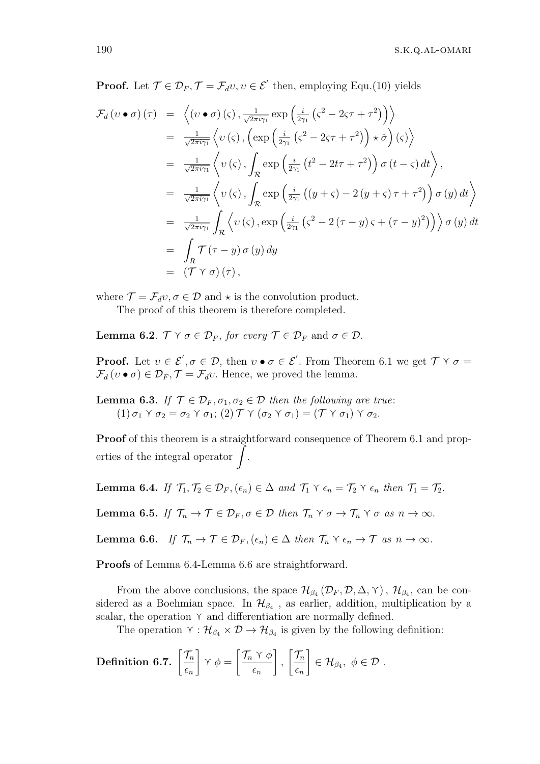**Proof.** Let  $\mathcal{T} \in \mathcal{D}_F$ ,  $\mathcal{T} = \mathcal{F}_d v$ ,  $v \in \mathcal{E}'$  then, employing Equ.(10) yields

$$
\mathcal{F}_{d}(v \bullet \sigma)(\tau) = \left\langle (v \bullet \sigma)(\varsigma), \frac{1}{\sqrt{2\pi i \gamma_{1}}} \exp\left(\frac{i}{2\gamma_{1}}\left(\varsigma^{2} - 2\varsigma\tau + \tau^{2}\right)\right) \right\rangle
$$
\n
$$
= \frac{1}{\sqrt{2\pi i \gamma_{1}}} \left\langle v(\varsigma), \left(\exp\left(\frac{i}{2\gamma_{1}}\left(\varsigma^{2} - 2\varsigma\tau + \tau^{2}\right)\right) \star \check{\sigma}\right)(\varsigma)\right\rangle
$$
\n
$$
= \frac{1}{\sqrt{2\pi i \gamma_{1}}} \left\langle v(\varsigma), \int_{\mathcal{R}} \exp\left(\frac{i}{2\gamma_{1}}\left(t^{2} - 2t\tau + \tau^{2}\right)\right) \sigma(t - \varsigma) dt \right\rangle,
$$
\n
$$
= \frac{1}{\sqrt{2\pi i \gamma_{1}}} \left\langle v(\varsigma), \int_{\mathcal{R}} \exp\left(\frac{i}{2\gamma_{1}}\left((y + \varsigma) - 2(y + \varsigma)\tau + \tau^{2}\right)\right) \sigma(y) dt \right\rangle
$$
\n
$$
= \frac{1}{\sqrt{2\pi i \gamma_{1}}} \int_{\mathcal{R}} \left\langle v(\varsigma), \exp\left(\frac{i}{2\gamma_{1}}\left(\varsigma^{2} - 2(\tau - y)\varsigma + (\tau - y)^{2}\right)\right)\right\rangle \sigma(y) dt
$$
\n
$$
= \int_{R} \mathcal{T}(\tau - y) \sigma(y) dy
$$
\n
$$
= (\mathcal{T} \vee \sigma)(\tau),
$$

where  $\mathcal{T} = \mathcal{F}_d v, \sigma \in \mathcal{D}$  and  $\star$  is the convolution product.

The proof of this theorem is therefore completed.

**Lemma 6.2**.  $\mathcal{T} \times \sigma \in \mathcal{D}_F$ , for every  $\mathcal{T} \in \mathcal{D}_F$  and  $\sigma \in \mathcal{D}$ .

**Proof.** Let  $v \in \mathcal{E}', \sigma \in \mathcal{D}$ , then  $v \bullet \sigma \in \mathcal{E}'$ . From Theorem 6.1 we get  $\mathcal{T} \vee \sigma =$  $\mathcal{F}_d$  (*v* •  $\sigma$ )  $\in \mathcal{D}_F$ ,  $\mathcal{T} = \mathcal{F}_d v$ . Hence, we proved the lemma.

**Lemma 6.3.** *If*  $\mathcal{T} \in \mathcal{D}_F$ ,  $\sigma_1$ ,  $\sigma_2 \in \mathcal{D}$  *then the following are true:*  $(1)$   $\sigma_1$   $\gamma$   $\sigma_2 = \sigma_2$   $\gamma$   $\sigma_1$ ;  $(2)$   $\mathcal{T}$   $\gamma$   $(\sigma_2 \gamma \sigma_1) = (\mathcal{T} \gamma \sigma_1) \gamma \sigma_2$ .

**Proof** of this theorem is a straightforward consequence of Theorem 6.1 and properties of the integral operator  $\int$ .

**Lemma 6.4.** If  $\mathcal{T}_1, \mathcal{T}_2 \in \mathcal{D}_F, (\epsilon_n) \in \Delta$  and  $\mathcal{T}_1 \vee \epsilon_n = \mathcal{T}_2 \vee \epsilon_n$  then  $\mathcal{T}_1 = \mathcal{T}_2$ .

**Lemma 6.5.** *If*  $\mathcal{T}_n \to \mathcal{T} \in \mathcal{D}_F, \sigma \in \mathcal{D}$  *then*  $\mathcal{T}_n \times \sigma \to \mathcal{T}_n \times \sigma$  *as*  $n \to \infty$ *.* 

**Lemma 6.6.** *If*  $\mathcal{T}_n \to \mathcal{T} \in \mathcal{D}_F$ ,  $(\epsilon_n) \in \Delta$  *then*  $\mathcal{T}_n \times \epsilon_n \to \mathcal{T}$  *as*  $n \to \infty$ *.* 

**Proofs** of Lemma 6.4-Lemma 6.6 are straightforward.

From the above conclusions, the space  $\mathcal{H}_{\beta_4}(\mathcal{D}_F, \mathcal{D}, \Delta, \Upsilon)$ ,  $\mathcal{H}_{\beta_4}$ , can be considered as a Boehmian space. In  $\mathcal{H}_{\beta_4}$ , as earlier, addition, multiplication by a scalar, the operation  $\gamma$  and differentiation are normally defined.

The operation  $\gamma : H_{\beta_4} \times \mathcal{D} \to H_{\beta_4}$  is given by the following definition:

Definition 6.7.  $\left[\frac{\mathcal{T}_n}{\mathcal{T}_n}\right]$ *ϵn*  $\gamma \phi = \left[ \frac{\mathcal{T}_n \gamma \phi}{\phi} \right]$ *ϵn* ] *,*  $\lceil \mathcal{T}_n \rceil$ *ϵn* ]  $∈$   $H_{\beta_4}, \phi ∈ \mathcal{D}$  *.*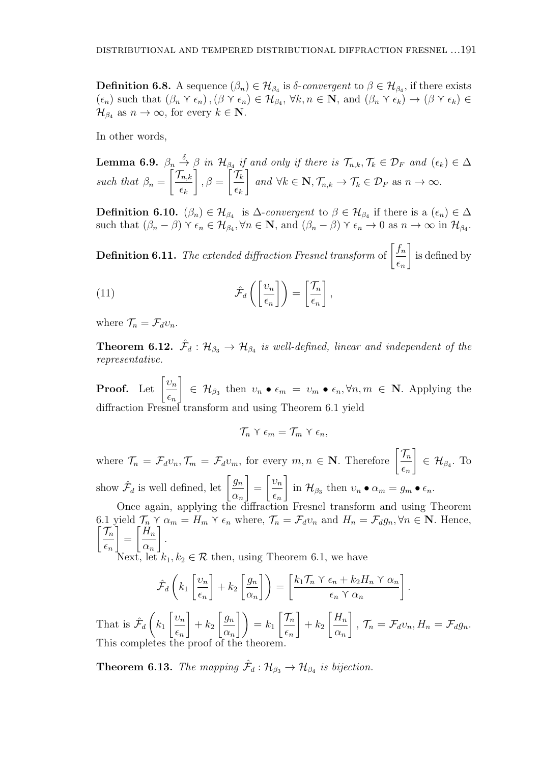**Definition 6.8.** A sequence  $(\beta_n) \in \mathcal{H}_{\beta_4}$  is *δ*-*convergent* to  $\beta \in \mathcal{H}_{\beta_4}$ , if there exists  $(\epsilon_n)$  such that  $(\beta_n \ Y \epsilon_n)$ ,  $(\beta \ Y \epsilon_n) \in \mathcal{H}_{\beta_4}$ ,  $\forall k, n \in \mathbb{N}$ , and  $(\beta_n \ Y \epsilon_k) \to (\beta \ Y \epsilon_k) \in$  $\mathcal{H}_{\beta_4}$  as  $n \to \infty$ , for every  $k \in \mathbb{N}$ .

In other words,

**Lemma 6.9.**  $\beta_n \stackrel{\delta}{\rightarrow} \beta$  in  $\mathcal{H}_{\beta_4}$  if and only if there is  $\mathcal{T}_{n,k}, \mathcal{T}_k \in \mathcal{D}_F$  and  $(\epsilon_k) \in \Delta$ *such that*  $\beta_n =$  $\lceil \mathcal{T}_{n,k} \rceil$ *ϵk* ]  $, \beta =$  $\bigcap \mathcal{T}_k$ *ϵk* ]  $and \forall k \in \mathbf{N}, \mathcal{T}_{n,k} \to \mathcal{T}_k \in \mathcal{D}_F \text{ as } n \to \infty.$ 

**Definition 6.10.**  $(\beta_n) \in \mathcal{H}_{\beta_4}$  is  $\Delta$ -*convergent* to  $\beta \in \mathcal{H}_{\beta_4}$  if there is a  $(\epsilon_n) \in \Delta$ such that  $(\beta_n - \beta) \land \epsilon_n \in \mathcal{H}_{\beta_4}, \forall n \in \mathbb{N}$ , and  $(\beta_n - \beta) \land \epsilon_n \to 0$  as  $n \to \infty$  in  $\mathcal{H}_{\beta_4}$ .

**Definition 6.11.** The extended diffraction Fresnel transform of  $\left[\frac{f_n}{f_n}\right]$ *ϵn* ] is defined by

(11) 
$$
\hat{\mathcal{F}}_d\left(\left[\frac{\upsilon_n}{\epsilon_n}\right]\right) = \left[\frac{\mathcal{T}_n}{\epsilon_n}\right],
$$

where  $\mathcal{T}_n = \mathcal{F}_d v_n$ .

**Theorem 6.12.**  $\hat{\mathcal{F}}_d$  :  $\mathcal{H}_{\beta_3} \rightarrow \mathcal{H}_{\beta_4}$  is well-defined, linear and independent of the *representative.*

**Proof.** Let  $\left[\frac{v_n}{v_n}\right]$ *ϵn* ]  $\in$   $\mathcal{H}_{\beta_3}$  then  $v_n \bullet \epsilon_m = v_m \bullet \epsilon_n, \forall n, m \in \mathbb{N}$ . Applying the diffraction Fresnel transform and using Theorem 6.1 yield

$$
\mathcal{T}_n \vee \epsilon_m = \mathcal{T}_m \vee \epsilon_n,
$$

where  $\mathcal{T}_n = \mathcal{F}_d v_n, \mathcal{T}_m = \mathcal{F}_d v_m$ , for every  $m, n \in \mathbb{N}$ . Therefore  $\left[\frac{\mathcal{T}_n}{\sigma}\right]$ *ϵn* ] *∈ H<sup>β</sup>*<sup>4</sup> *.* To show  $\hat{\mathcal{F}}_d$  is well defined, let  $\left[\frac{g_n}{g_n}\right]$ *αn* ] = [ *υn ϵn* ]  $\text{in } \mathcal{H}_{\beta_3} \text{ then } v_n \bullet \alpha_m = g_m \bullet \epsilon_n.$ 

Once again, applying the diffraction Fresnel transform and using Theorem 6.1 yield  $\mathcal{T}_n \gamma \alpha_m = H_m \gamma \epsilon_n$  where,  $\mathcal{T}_n = \mathcal{F}_d v_n$  and  $H_n = \mathcal{F}_d g_n, \forall n \in \mathbb{N}$ . Hence,  $\lceil \mathcal{T}_n \rceil$ *ϵn* ] =  $\int H_n$ *αn* ] *.*

t, let  $k_1, k_2 \in \mathcal{R}$  then, using Theorem 6.1, we have

$$
\hat{\mathcal{F}}_d\left(k_1\left[\frac{\upsilon_n}{\epsilon_n}\right] + k_2\left[\frac{g_n}{\alpha_n}\right]\right) = \left[\frac{k_1\mathcal{T}_n \times \epsilon_n + k_2H_n \times \alpha_n}{\epsilon_n \times \alpha_n}\right]
$$

*.*

That is  $\hat{\mathcal{F}}_d$  $\sqrt{2}$ *k*1 [ *υn ϵn* ]  $+ k_2$  $\int g_n$ *αn*  $\Big\{\Big\}\Big\} = k_1 \left[ \frac{\mathcal{T}_n}{\mathcal{T}_n} \right]$ *ϵn* ]  $+ k_2$  $H_n$ *αn* ] *,*  $\mathcal{T}_n = \mathcal{F}_d v_n, H_n = \mathcal{F}_d g_n.$ This completes the proof of the  $\frac{1}{2}$ 

**Theorem 6.13.** *The mapping*  $\hat{\mathcal{F}}_d$  :  $\mathcal{H}_{\beta_3} \rightarrow \mathcal{H}_{\beta_4}$  *is bijection.*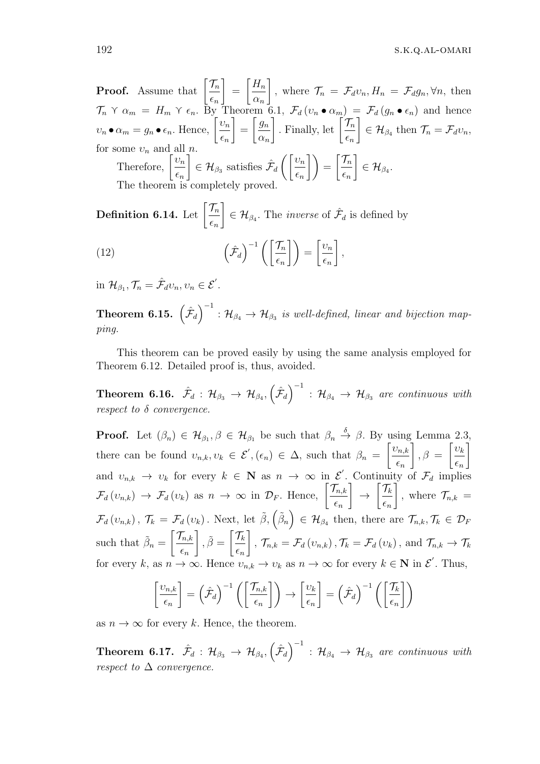192 s.k.q.al-omari

**Proof.** Assume that  $\left[\frac{\mathcal{T}_n}{\mathcal{T}_n}\right]$ *ϵn* ] =  $H_n$ *αn* ] *,* where  $\mathcal{T}_n = \mathcal{F}_d v_n, H_n = \mathcal{F}_d g_n, \forall n$ , then  $\mathcal{T}_n \vee \alpha_m = H_m \vee \epsilon_n$ . By Theorem 6.1,  $\mathcal{F}_d(v_n \bullet \alpha_m) = \mathcal{F}_d(g_n \bullet \epsilon_n)$  and hence  $v_n \bullet \alpha_m = g_n \bullet \epsilon_n$ . Hence,  $\left[ \frac{v_n}{a} \right]$ *ϵn* ] =  $\int g_n$ *αn*  $\int$ . Finally, let  $\left[\frac{\mathcal{T}_n}{\sigma}\right]$ *ϵn* ]  $\in$  *H*<sub>*β*4</sub></sub> then  $\mathcal{T}_n = \mathcal{F}_d v_n$ , for some  $v_n$  and all  $n$ Therefore,  $\left[\frac{v_n}{v_n}\right]$ *ϵn* ]  $\in$  *H*<sub> $\beta_3$ </sub> satisfies  $\hat{\mathcal{F}}_d$  $\int$ [*υ*<sub>*n*</sub>] *ϵn*  $\Big\} = \Big\lceil \frac{\mathcal{T}_n}{\sqrt{n}} \Big\rceil$ *ϵn* ]  $\in$   $\mathcal{H}_{\beta_4}$ . The theorem is completely proved.

Definition 6.14. Let  $\left\lceil\frac{\mathcal{T}_n}{\mathcal{T}_n}\right\rceil$ *ϵn* ]  $\in \mathcal{H}_{\beta_4}$ . The *inverse* of  $\hat{\mathcal{F}}_d$  is defined by  $(12)$  $\left(\frac{\hat{\mathcal{F}}_d}{\hat{\mathcal{F}}_d}\right)^{-1}\left(\frac{\hat{\mathcal{F}}_n}{\hat{\mathcal{F}}_d}\right)$ *ϵn*  $\Big|\Big] = \Big[\frac{\nu_n}{n}\Big]$ *ϵn* ] *,*

in  $\mathcal{H}_{\beta_1}, \mathcal{T}_n = \hat{\mathcal{F}}_d v_n, v_n \in \mathcal{E}'$ .

**Theorem 6.15.**  $(\hat{\mathcal{F}}_d)^{-1} : \mathcal{H}_{\beta_4} \to \mathcal{H}_{\beta_3}$  is well-defined, linear and bijection map*ping.*

This theorem can be proved easily by using the same analysis employed for Theorem 6.12. Detailed proof is, thus, avoided.

 $\textbf{Theorem 6.16.} \quad \hat{\mathcal{F}}_d \, : \, \mathcal{H}_{\beta_3} \, \rightarrow \, \mathcal{H}_{\beta_4}, \left(\hat{\mathcal{F}}_d\right)^{-1} \, : \, \mathcal{H}_{\beta_4} \, \rightarrow \, \mathcal{H}_{\beta_3} \, \textit{ are continuous with}$ *respect to δ convergence.*

**Proof.** Let  $(\beta_n) \in \mathcal{H}_{\beta_1}, \beta \in \mathcal{H}_{\beta_1}$  be such that  $\beta_n \stackrel{\delta}{\rightarrow} \beta$ . By using Lemma 2.3, there can be found  $v_{n,k}, v_k \in \mathcal{E}'$ ,  $(\epsilon_n) \in \Delta$ , such that  $\beta_n =$ [ *υn,k ϵn* ]  $, \beta =$ [ *υk ϵn* ] and  $v_{n,k} \to v_k$  for every  $k \in \mathbb{N}$  as  $n \to \infty$  in  $\mathcal{E}'$ . Continuity of  $\mathcal{F}_d$  implies  $\mathcal{F}_d\left(v_{n,k}\right) \to \mathcal{F}_d\left(v_k\right)$  as  $n \to \infty$  in  $\mathcal{D}_F$ . Hence,  $\left[\frac{\mathcal{T}_{n,k}}{\sigma}\right]$ *ϵn* ] *→*  $\lceil \mathcal{T}_k \rceil$ *ϵn*  $\overline{\mathsf{I}}$ *,* where  $\mathcal{T}_{n,k}$  =  $\mathcal{F}_d(v_{n,k}), \mathcal{T}_k = \mathcal{F}_d(v_k)$ . Next, let  $\tilde{\beta}_v(\tilde{\beta}_n) \in \mathcal{H}_{\beta_4}$  then, there are  $\mathcal{T}_{n,k}, \mathcal{T}_k \in \mathcal{D}_k$ such that  $\tilde{\beta}_n =$  $\lceil \mathcal{T}_{n,k} \rceil$ *ϵn*  $\left[\right], \tilde{\beta} = \left[\frac{\mathcal{T}_k}{\sigma}\right]$ *ϵn* ]  $\mathcal{T}_{n,k} = \mathcal{F}_d(v_{n,k}), \mathcal{T}_k = \mathcal{F}_d(v_k), \text{ and } \mathcal{T}_{n,k} \to \mathcal{T}_k$ for every k, as  $n \to \infty$ . Hence  $v_{n,k} \to v_k$  as  $n \to \infty$  for every  $k \in \mathbb{N}$  in  $\mathcal{E}'$ . Thus,

$$
\left[\frac{\nu_{n,k}}{\epsilon_n}\right] = \left(\hat{\mathcal{F}}_d\right)^{-1} \left(\left[\frac{\mathcal{T}_{n,k}}{\epsilon_n}\right]\right) \rightarrow \left[\frac{\nu_k}{\epsilon_n}\right] = \left(\hat{\mathcal{F}}_d\right)^{-1} \left(\left[\frac{\mathcal{T}_k}{\epsilon_n}\right]\right)
$$

as  $n \to \infty$  for every *k*. Hence, the theorem.

**Theorem 6.17.**  $\hat{\mathcal{F}}_d$  :  $\mathcal{H}_{\beta_3} \rightarrow \mathcal{H}_{\beta_4}, \left(\hat{\mathcal{F}}_d\right)^{-1}$  :  $\mathcal{H}_{\beta_4} \rightarrow \mathcal{H}_{\beta_3}$  are continuous with *respect to*  $\Delta$  *convergence.*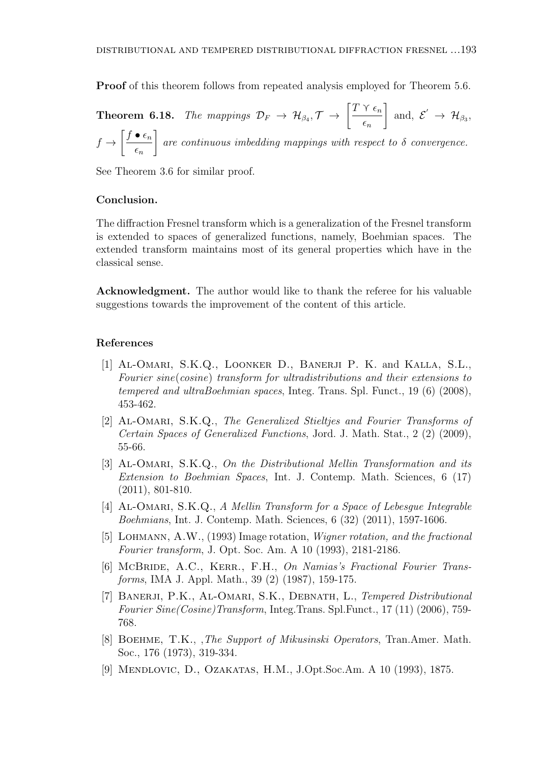**Proof** of this theorem follows from repeated analysis employed for Theorem 5.6.

**Theorem 6.18.** *The mappings*  $\mathcal{D}_F \rightarrow \mathcal{H}_{\beta_4}, \mathcal{T} \rightarrow \left[\frac{T \times \epsilon_n}{\epsilon_n}\right]$ *ϵn* ] and,  $\mathcal{E}' \rightarrow \mathcal{H}_{\beta_3}$ , *f →*  $\int f \bullet \epsilon_n$ *ϵn* ] *are continuous imbedding mappings with respect to δ convergence.*

See Theorem 3.6 for similar proof.

#### **Conclusion.**

The diffraction Fresnel transform which is a generalization of the Fresnel transform is extended to spaces of generalized functions, namely, Boehmian spaces. The extended transform maintains most of its general properties which have in the classical sense.

**Acknowledgment.** The author would like to thank the referee for his valuable suggestions towards the improvement of the content of this article.

#### **References**

- [1] Al-Omari, S.K.Q., Loonker D., Banerji P. K. and Kalla, S.L., *Fourier sine*(*cosine*) *transform for ultradistributions and their extensions to tempered and ultraBoehmian spaces*, Integ. Trans. Spl. Funct., 19 (6) (2008), 453-462.
- [2] Al-Omari, S.K.Q., *The Generalized Stieltjes and Fourier Transforms of Certain Spaces of Generalized Functions*, Jord. J. Math. Stat., 2 (2) (2009), 55-66.
- [3] Al-Omari, S.K.Q., *On the Distributional Mellin Transformation and its Extension to Boehmian Spaces*, Int. J. Contemp. Math. Sciences, 6 (17) (2011), 801-810.
- [4] Al-Omari, S.K.Q., *A Mellin Transform for a Space of Lebesgue Integrable Boehmians*, Int. J. Contemp. Math. Sciences, 6 (32) (2011), 1597-1606.
- [5] Lohmann, A.W., (1993) Image rotation, *Wigner rotation, and the fractional Fourier transform*, J. Opt. Soc. Am. A 10 (1993), 2181-2186.
- [6] McBRIDE, A.C., KERR., F.H., *On Namias's Fractional Fourier Transforms*, IMA J. Appl. Math., 39 (2) (1987), 159-175.
- [7] Banerji, P.K., Al-Omari, S.K., Debnath, L., *Tempered Distributional Fourier Sine(Cosine)Transform*, Integ.Trans. Spl.Funct., 17 (11) (2006), 759- 768.
- [8] Boehme, T.K., ,*The Support of Mikusinski Operators*, Tran.Amer. Math. Soc., 176 (1973), 319-334.
- [9] Mendlovic, D., Ozakatas, H.M., J.Opt.Soc.Am. A 10 (1993), 1875.